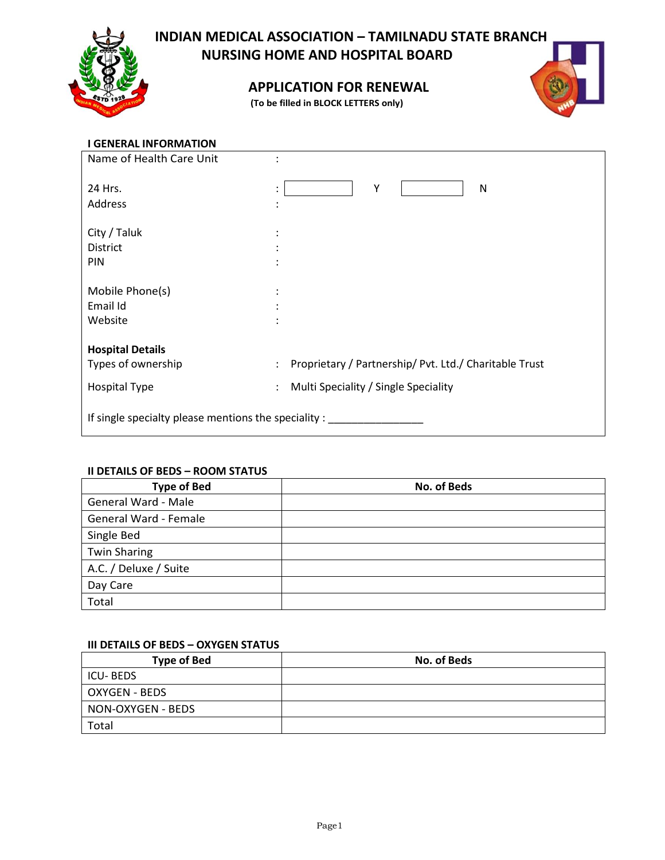

# **INDIAN MEDICAL ASSOCIATION – TAMILNADU STATE BRANCH NURSING HOME AND HOSPITAL BOARD**

# **APPLICATION FOR RENEWAL**

**(To be filled in BLOCK LETTERS only)**



# **I GENERAL INFORMATION**

| Name of Health Care Unit                                |                                                                                |  |
|---------------------------------------------------------|--------------------------------------------------------------------------------|--|
| 24 Hrs.                                                 | Y<br>N<br>$\colon$                                                             |  |
| Address                                                 |                                                                                |  |
| City / Taluk                                            |                                                                                |  |
| District                                                |                                                                                |  |
| PIN                                                     |                                                                                |  |
|                                                         |                                                                                |  |
| Mobile Phone(s)                                         |                                                                                |  |
| Email Id                                                |                                                                                |  |
| Website                                                 |                                                                                |  |
|                                                         |                                                                                |  |
| <b>Hospital Details</b>                                 |                                                                                |  |
| Types of ownership                                      | Proprietary / Partnership/ Pvt. Ltd./ Charitable Trust<br>$\ddot{\phantom{0}}$ |  |
| <b>Hospital Type</b>                                    | Multi Speciality / Single Speciality<br>$\ddot{\phantom{0}}$                   |  |
|                                                         |                                                                                |  |
| If single specialty please mentions the speciality : __ |                                                                                |  |

#### **II DETAILS OF BEDS – ROOM STATUS**

| <b>Type of Bed</b>    | No. of Beds |
|-----------------------|-------------|
| General Ward - Male   |             |
| General Ward - Female |             |
| Single Bed            |             |
| <b>Twin Sharing</b>   |             |
| A.C. / Deluxe / Suite |             |
| Day Care              |             |
| Total                 |             |

#### **III DETAILS OF BEDS – OXYGEN STATUS**

| <b>Type of Bed</b> | <b>No. of Beds</b> |
|--------------------|--------------------|
| <b>ICU-BEDS</b>    |                    |
| OXYGEN - BEDS      |                    |
| NON-OXYGEN - BEDS  |                    |
| Total              |                    |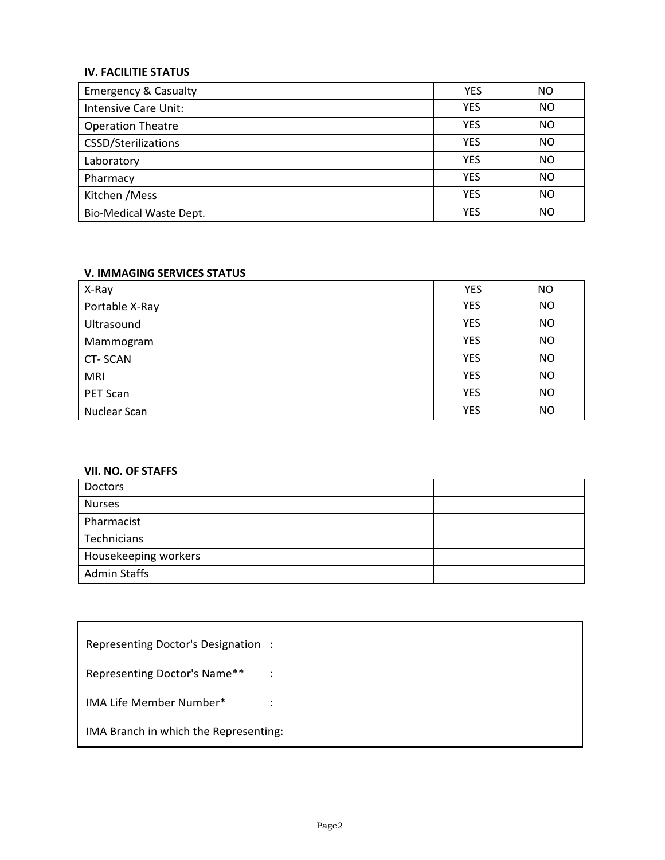## **IV. FACILITIE STATUS**

| <b>Emergency &amp; Casualty</b> | <b>YES</b> | ΝO |
|---------------------------------|------------|----|
| Intensive Care Unit:            | <b>YES</b> | NO |
| <b>Operation Theatre</b>        | <b>YES</b> | ΝO |
| CSSD/Sterilizations             | <b>YES</b> | ΝO |
| Laboratory                      | <b>YES</b> | ΝO |
| Pharmacy                        | <b>YES</b> | ΝO |
| Kitchen / Mess                  | <b>YES</b> | ΝO |
| <b>Bio-Medical Waste Dept.</b>  | <b>YES</b> | NΟ |

## **V. IMMAGING SERVICES STATUS**

| X-Ray          | <b>YES</b> | ΝO        |
|----------------|------------|-----------|
| Portable X-Ray | <b>YES</b> | <b>NO</b> |
| Ultrasound     | <b>YES</b> | NO        |
| Mammogram      | <b>YES</b> | <b>NO</b> |
| <b>CT-SCAN</b> | <b>YES</b> | <b>NO</b> |
| <b>MRI</b>     | <b>YES</b> | <b>NO</b> |
| PET Scan       | <b>YES</b> | NO        |
| Nuclear Scan   | <b>YES</b> | NO        |

#### **VII. NO. OF STAFFS**

| Doctors              |  |
|----------------------|--|
| <b>Nurses</b>        |  |
| Pharmacist           |  |
| Technicians          |  |
| Housekeeping workers |  |
| <b>Admin Staffs</b>  |  |

| Representing Doctor's Designation:    |           |
|---------------------------------------|-----------|
| Representing Doctor's Name**          | $\sim$ 1. |
| IMA Life Member Number*               |           |
| IMA Branch in which the Representing: |           |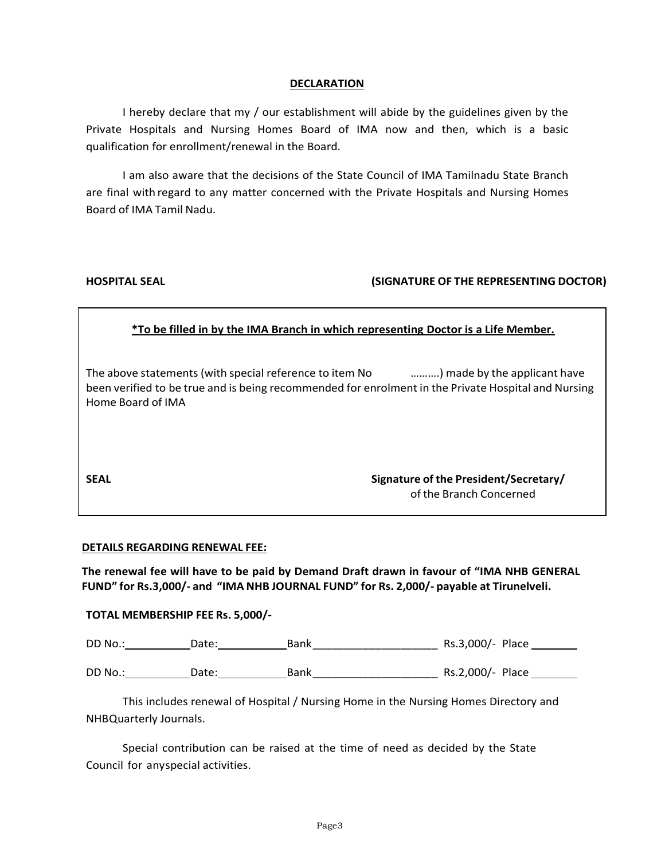#### **DECLARATION**

I hereby declare that my / our establishment will abide by the guidelines given by the Private Hospitals and Nursing Homes Board of IMA now and then, which is a basic qualification for enrollment/renewal in the Board.

I am also aware that the decisions of the State Council of IMA Tamilnadu State Branch are final with regard to any matter concerned with the Private Hospitals and Nursing Homes Board of IMA Tamil Nadu.

## **HOSPITAL SEAL (SIGNATURE OF THE REPRESENTING DOCTOR)**

## **\*To be filled in by the IMA Branch in which representing Doctor is a Life Member.**

The above statements (with special reference to item No ……….) made by the applicant have been verified to be true and is being recommended for enrolment in the Private Hospital and Nursing Home Board of IMA

**SEAL Signature of the President/Secretary/** of the Branch Concerned

#### **DETAILS REGARDING RENEWAL FEE:**

**The renewal fee will have to be paid by Demand Draft drawn in favour of "IMA NHB GENERAL FUND" for Rs.3,000/- and "IMA NHB JOURNAL FUND" for Rs. 2,000/- payable at Tirunelveli.**

#### **TOTAL MEMBERSHIP FEE Rs. 5,000/-**

DD No.: Date: Bank\_\_\_\_\_\_\_\_\_\_\_\_\_\_\_\_\_\_\_\_ Rs.3,000/- Place

DD No.: Date: Bank\_\_\_\_\_\_\_\_\_\_\_\_\_\_\_\_\_\_\_\_ Rs.2,000/- Place

This includes renewal of Hospital / Nursing Home in the Nursing Homes Directory and NHBQuarterly Journals.

Special contribution can be raised at the time of need as decided by the State Council for anyspecial activities.